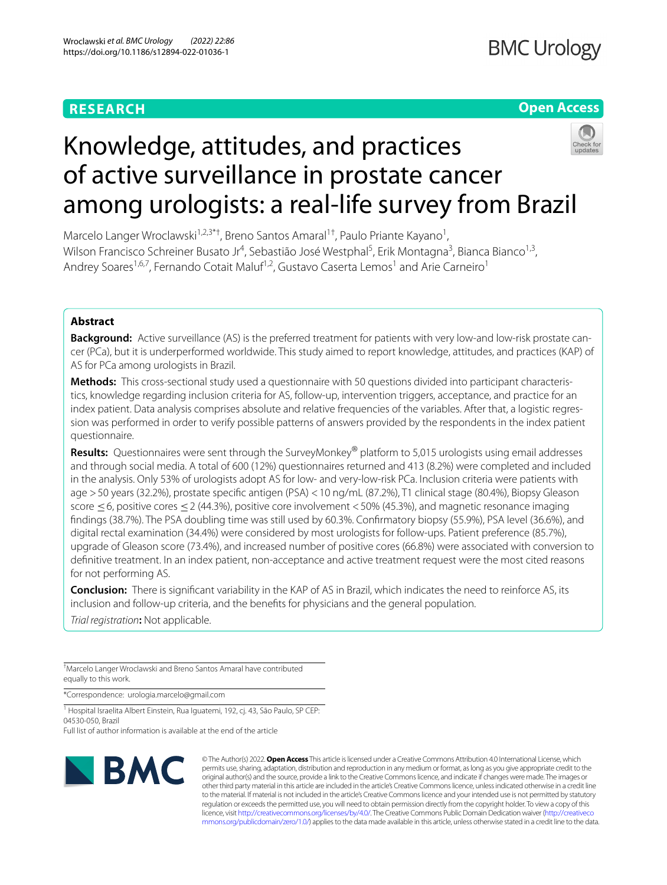# **RESEARCH**

# **Open Access**



# Knowledge, attitudes, and practices of active surveillance in prostate cancer among urologists: a real-life survey from Brazil

Marcelo Langer Wroclawski<sup>1,2,3\*†</sup>, Breno Santos Amaral<sup>1†</sup>, Paulo Priante Kayano<sup>1</sup>, Wilson Francisco Schreiner Busato Jr<sup>4</sup>, Sebastião José Westphal<sup>5</sup>, Erik Montagna<sup>3</sup>, Bianca Bianco<sup>1,3</sup>, Andrey Soares<sup>1,6,7</sup>, Fernando Cotait Maluf<sup>1,2</sup>, Gustavo Caserta Lemos<sup>1</sup> and Arie Carneiro<sup>1</sup>

# **Abstract**

**Background:** Active surveillance (AS) is the preferred treatment for patients with very low-and low-risk prostate cancer (PCa), but it is underperformed worldwide. This study aimed to report knowledge, attitudes, and practices (KAP) of AS for PCa among urologists in Brazil.

**Methods:** This cross-sectional study used a questionnaire with 50 questions divided into participant characteristics, knowledge regarding inclusion criteria for AS, follow-up, intervention triggers, acceptance, and practice for an index patient. Data analysis comprises absolute and relative frequencies of the variables. After that, a logistic regression was performed in order to verify possible patterns of answers provided by the respondents in the index patient questionnaire.

**Results:** Questionnaires were sent through the SurveyMonkey® platform to 5,015 urologists using email addresses and through social media. A total of 600 (12%) questionnaires returned and 413 (8.2%) were completed and included in the analysis. Only 53% of urologists adopt AS for low- and very-low-risk PCa. Inclusion criteria were patients with age >50 years (32.2%), prostate specifc antigen (PSA) <10 ng/mL (87.2%), T1 clinical stage (80.4%), Biopsy Gleason score ≤6, positive cores ≤2 (44.3%), positive core involvement <50% (45.3%), and magnetic resonance imaging fndings (38.7%). The PSA doubling time was still used by 60.3%. Confrmatory biopsy (55.9%), PSA level (36.6%), and digital rectal examination (34.4%) were considered by most urologists for follow-ups. Patient preference (85.7%), upgrade of Gleason score (73.4%), and increased number of positive cores (66.8%) were associated with conversion to defnitive treatment. In an index patient, non-acceptance and active treatment request were the most cited reasons for not performing AS.

**Conclusion:** There is signifcant variability in the KAP of AS in Brazil, which indicates the need to reinforce AS, its inclusion and follow-up criteria, and the benefts for physicians and the general population.

*Trial registration***:** Not applicable.

† Marcelo Langer Wroclawski and Breno Santos Amaral have contributed equally to this work.

\*Correspondence: urologia.marcelo@gmail.com

<sup>1</sup> Hospital Israelita Albert Einstein, Rua Iguatemi, 192, cj. 43, São Paulo, SP CEP: 04530-050, Brazil

Full list of author information is available at the end of the article



© The Author(s) 2022. **Open Access** This article is licensed under a Creative Commons Attribution 4.0 International License, which permits use, sharing, adaptation, distribution and reproduction in any medium or format, as long as you give appropriate credit to the original author(s) and the source, provide a link to the Creative Commons licence, and indicate if changes were made. The images or other third party material in this article are included in the article's Creative Commons licence, unless indicated otherwise in a credit line to the material. If material is not included in the article's Creative Commons licence and your intended use is not permitted by statutory regulation or exceeds the permitted use, you will need to obtain permission directly from the copyright holder. To view a copy of this licence, visit [http://creativecommons.org/licenses/by/4.0/.](http://creativecommons.org/licenses/by/4.0/) The Creative Commons Public Domain Dedication waiver ([http://creativeco](http://creativecommons.org/publicdomain/zero/1.0/) [mmons.org/publicdomain/zero/1.0/](http://creativecommons.org/publicdomain/zero/1.0/)) applies to the data made available in this article, unless otherwise stated in a credit line to the data.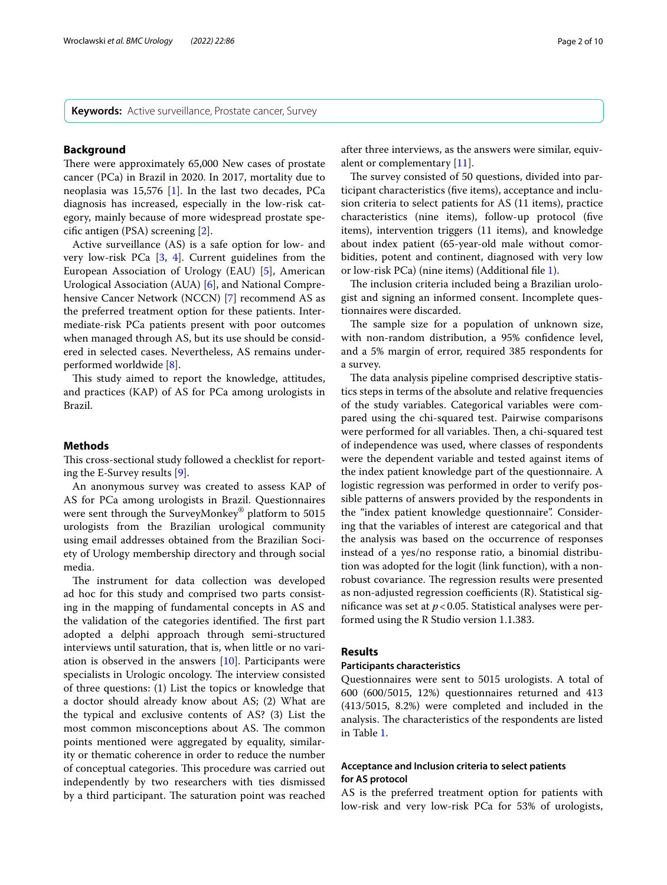**Keywords:** Active surveillance, Prostate cancer, Survey

#### **Background**

There were approximately 65,000 New cases of prostate cancer (PCa) in Brazil in 2020. In 2017, mortality due to neoplasia was 15,576 [[1\]](#page-8-0). In the last two decades, PCa diagnosis has increased, especially in the low-risk category, mainly because of more widespread prostate specifc antigen (PSA) screening [[2\]](#page-8-1).

Active surveillance (AS) is a safe option for low- and very low-risk PCa [\[3](#page-8-2), [4](#page-8-3)]. Current guidelines from the European Association of Urology (EAU) [\[5](#page-8-4)], American Urological Association (AUA) [\[6\]](#page-8-5), and National Comprehensive Cancer Network (NCCN) [\[7](#page-8-6)] recommend AS as the preferred treatment option for these patients. Intermediate-risk PCa patients present with poor outcomes when managed through AS, but its use should be considered in selected cases. Nevertheless, AS remains underperformed worldwide [\[8](#page-8-7)].

This study aimed to report the knowledge, attitudes, and practices (KAP) of AS for PCa among urologists in Brazil.

# **Methods**

This cross-sectional study followed a checklist for reporting the E-Survey results [[9\]](#page-8-8).

An anonymous survey was created to assess KAP of AS for PCa among urologists in Brazil. Questionnaires were sent through the SurveyMonkey® platform to 5015 urologists from the Brazilian urological community using email addresses obtained from the Brazilian Society of Urology membership directory and through social media.

The instrument for data collection was developed ad hoc for this study and comprised two parts consisting in the mapping of fundamental concepts in AS and the validation of the categories identified. The first part adopted a delphi approach through semi-structured interviews until saturation, that is, when little or no variation is observed in the answers  $[10]$  $[10]$  $[10]$ . Participants were specialists in Urologic oncology. The interview consisted of three questions: (1) List the topics or knowledge that a doctor should already know about AS; (2) What are the typical and exclusive contents of AS? (3) List the most common misconceptions about AS. The common points mentioned were aggregated by equality, similarity or thematic coherence in order to reduce the number of conceptual categories. This procedure was carried out independently by two researchers with ties dismissed by a third participant. The saturation point was reached after three interviews, as the answers were similar, equivalent or complementary [\[11\]](#page-8-10).

The survey consisted of 50 questions, divided into participant characteristics (fve items), acceptance and inclusion criteria to select patients for AS (11 items), practice characteristics (nine items), follow-up protocol (fve items), intervention triggers (11 items), and knowledge about index patient (65-year-old male without comorbidities, potent and continent, diagnosed with very low or low-risk PCa) (nine items) (Additional fle [1](#page-8-11)).

The inclusion criteria included being a Brazilian urologist and signing an informed consent. Incomplete questionnaires were discarded.

The sample size for a population of unknown size, with non-random distribution, a 95% confdence level, and a 5% margin of error, required 385 respondents for a survey.

The data analysis pipeline comprised descriptive statistics steps in terms of the absolute and relative frequencies of the study variables. Categorical variables were compared using the chi-squared test. Pairwise comparisons were performed for all variables. Then, a chi-squared test of independence was used, where classes of respondents were the dependent variable and tested against items of the index patient knowledge part of the questionnaire. A logistic regression was performed in order to verify possible patterns of answers provided by the respondents in the "index patient knowledge questionnaire". Considering that the variables of interest are categorical and that the analysis was based on the occurrence of responses instead of a yes/no response ratio, a binomial distribution was adopted for the logit (link function), with a nonrobust covariance. The regression results were presented as non-adjusted regression coefficients  $(R)$ . Statistical significance was set at  $p < 0.05$ . Statistical analyses were performed using the R Studio version 1.1.383.

# **Results**

#### **Participants characteristics**

Questionnaires were sent to 5015 urologists. A total of 600 (600/5015, 12%) questionnaires returned and 413 (413/5015, 8.2%) were completed and included in the analysis. The characteristics of the respondents are listed in Table [1.](#page-2-0)

# **Acceptance and Inclusion criteria to select patients for AS protocol**

AS is the preferred treatment option for patients with low-risk and very low-risk PCa for 53% of urologists,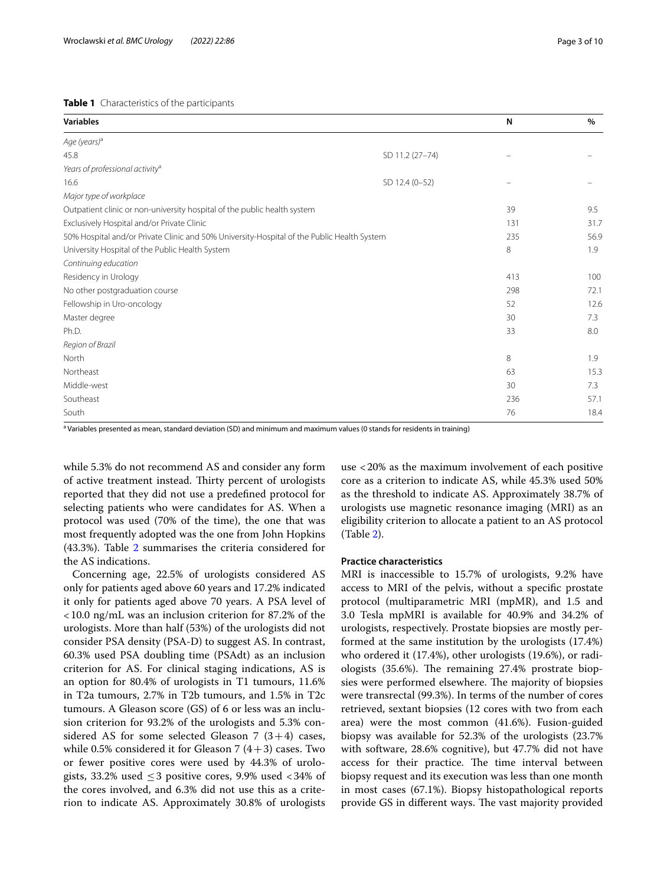## <span id="page-2-0"></span>**Table 1** Characteristics of the participants

| <b>Variables</b>                                                                           |                 | N   | $\%$ |
|--------------------------------------------------------------------------------------------|-----------------|-----|------|
| Age (years) <sup>a</sup>                                                                   |                 |     |      |
| 45.8                                                                                       | SD 11.2 (27-74) |     |      |
| Years of professional activity <sup>a</sup>                                                |                 |     |      |
| 16.6                                                                                       | SD 12.4 (0-52)  |     |      |
| Major type of workplace                                                                    |                 |     |      |
| Outpatient clinic or non-university hospital of the public health system                   |                 | 39  | 9.5  |
| Exclusively Hospital and/or Private Clinic                                                 |                 | 131 | 31.7 |
| 50% Hospital and/or Private Clinic and 50% University-Hospital of the Public Health System |                 | 235 | 56.9 |
| University Hospital of the Public Health System                                            |                 | 8   | 1.9  |
| Continuing education                                                                       |                 |     |      |
| Residency in Urology                                                                       |                 | 413 | 100  |
| No other postgraduation course                                                             |                 | 298 | 72.1 |
| Fellowship in Uro-oncology                                                                 |                 | 52  | 12.6 |
| Master degree                                                                              |                 | 30  | 7.3  |
| Ph.D.                                                                                      |                 | 33  | 8.0  |
| Region of Brazil                                                                           |                 |     |      |
| North                                                                                      |                 | 8   | 1.9  |
| Northeast                                                                                  |                 | 63  | 15.3 |
| Middle-west                                                                                |                 | 30  | 7.3  |
| Southeast                                                                                  |                 | 236 | 57.1 |
| South                                                                                      |                 | 76  | 18.4 |

<sup>a</sup> Variables presented as mean, standard deviation (SD) and minimum and maximum values (0 stands for residents in training)

while 5.3% do not recommend AS and consider any form of active treatment instead. Thirty percent of urologists reported that they did not use a predefned protocol for selecting patients who were candidates for AS. When a protocol was used (70% of the time), the one that was most frequently adopted was the one from John Hopkins (43.3%). Table [2](#page-3-0) summarises the criteria considered for the AS indications.

Concerning age, 22.5% of urologists considered AS only for patients aged above 60 years and 17.2% indicated it only for patients aged above 70 years. A PSA level of <10.0 ng/mL was an inclusion criterion for 87.2% of the urologists. More than half (53%) of the urologists did not consider PSA density (PSA-D) to suggest AS. In contrast, 60.3% used PSA doubling time (PSAdt) as an inclusion criterion for AS. For clinical staging indications, AS is an option for 80.4% of urologists in T1 tumours, 11.6% in T2a tumours, 2.7% in T2b tumours, and 1.5% in T2c tumours. A Gleason score (GS) of 6 or less was an inclusion criterion for 93.2% of the urologists and 5.3% considered AS for some selected Gleason 7  $(3+4)$  cases, while 0.5% considered it for Gleason 7  $(4+3)$  cases. Two or fewer positive cores were used by 44.3% of urologists, 33.2% used  $\leq$  3 positive cores, 9.9% used  $\lt$  34% of the cores involved, and 6.3% did not use this as a criterion to indicate AS. Approximately 30.8% of urologists use <20% as the maximum involvement of each positive core as a criterion to indicate AS, while 45.3% used 50% as the threshold to indicate AS. Approximately 38.7% of urologists use magnetic resonance imaging (MRI) as an eligibility criterion to allocate a patient to an AS protocol (Table [2\)](#page-3-0).

# **Practice characteristics**

MRI is inaccessible to 15.7% of urologists, 9.2% have access to MRI of the pelvis, without a specifc prostate protocol (multiparametric MRI (mpMR), and 1.5 and 3.0 Tesla mpMRI is available for 40.9% and 34.2% of urologists, respectively. Prostate biopsies are mostly performed at the same institution by the urologists (17.4%) who ordered it (17.4%), other urologists (19.6%), or radiologists  $(35.6\%)$ . The remaining 27.4% prostrate biopsies were performed elsewhere. The majority of biopsies were transrectal (99.3%). In terms of the number of cores retrieved, sextant biopsies (12 cores with two from each area) were the most common (41.6%). Fusion-guided biopsy was available for 52.3% of the urologists (23.7% with software, 28.6% cognitive), but 47.7% did not have access for their practice. The time interval between biopsy request and its execution was less than one month in most cases (67.1%). Biopsy histopathological reports provide GS in different ways. The vast majority provided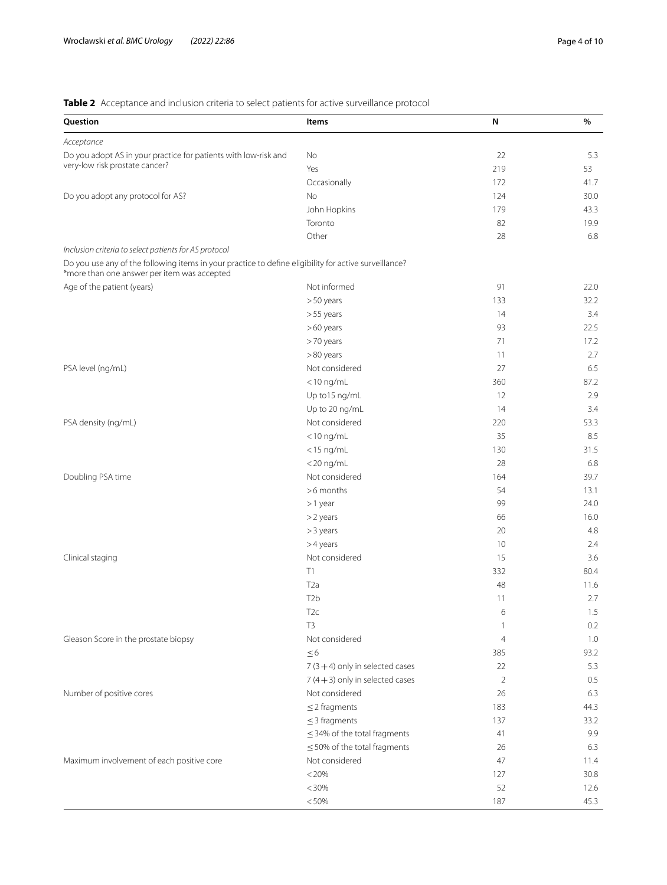# <span id="page-3-0"></span>**Table 2** Acceptance and inclusion criteria to select patients for active surveillance protocol

| Question                                                                                                                                             | Items                             | N                        | $\%$    |
|------------------------------------------------------------------------------------------------------------------------------------------------------|-----------------------------------|--------------------------|---------|
| Acceptance                                                                                                                                           |                                   |                          |         |
| Do you adopt AS in your practice for patients with low-risk and                                                                                      | No                                | 22                       | 5.3     |
| very-low risk prostate cancer?                                                                                                                       | Yes                               | 219                      | 53      |
|                                                                                                                                                      | Occasionally                      | 172                      | 41.7    |
| Do you adopt any protocol for AS?                                                                                                                    | No                                | 124                      | 30.0    |
|                                                                                                                                                      | John Hopkins                      | 179                      | 43.3    |
|                                                                                                                                                      | Toronto                           | 82                       | 19.9    |
|                                                                                                                                                      | Other                             | 28                       | 6.8     |
| Inclusion criteria to select patients for AS protocol                                                                                                |                                   |                          |         |
| Do you use any of the following items in your practice to define eligibility for active surveillance?<br>*more than one answer per item was accepted |                                   |                          |         |
| Age of the patient (years)                                                                                                                           | Not informed                      | 91                       | 22.0    |
|                                                                                                                                                      | >50 years                         | 133                      | 32.2    |
|                                                                                                                                                      | >55 years                         | 14                       | 3.4     |
|                                                                                                                                                      | $>60$ years                       | 93                       | 22.5    |
|                                                                                                                                                      | >70 years                         | 71                       | 17.2    |
|                                                                                                                                                      | >80 years                         | 11                       | 2.7     |
| PSA level (ng/mL)                                                                                                                                    | Not considered                    | 27                       | 6.5     |
|                                                                                                                                                      | $<$ 10 ng/mL                      | 360                      | 87.2    |
|                                                                                                                                                      | Up to 15 ng/mL                    | 12                       | 2.9     |
|                                                                                                                                                      | Up to 20 ng/mL                    | 14                       | 3.4     |
| PSA density (ng/mL)                                                                                                                                  | Not considered                    | 220                      | 53.3    |
|                                                                                                                                                      | $<$ 10 ng/mL                      | 35                       | 8.5     |
|                                                                                                                                                      | $<$ 15 ng/mL                      | 130                      | 31.5    |
|                                                                                                                                                      | $<$ 20 ng/mL                      | 28                       | 6.8     |
| Doubling PSA time                                                                                                                                    | Not considered                    | 164                      | 39.7    |
|                                                                                                                                                      | >6 months                         | 54                       | 13.1    |
|                                                                                                                                                      |                                   | 99                       | 24.0    |
|                                                                                                                                                      | >1 year<br>>2 years               | 66                       | 16.0    |
|                                                                                                                                                      |                                   | 20                       | 4.8     |
|                                                                                                                                                      | > 3 years<br>$>4$ years           | 10                       | 2.4     |
|                                                                                                                                                      |                                   |                          |         |
| Clinical staging                                                                                                                                     | Not considered<br>T1              | 15                       | 3.6     |
|                                                                                                                                                      |                                   | 332                      | 80.4    |
|                                                                                                                                                      | T <sub>2</sub> a                  | 48                       | 11.6    |
|                                                                                                                                                      | T <sub>2</sub> b                  | 11                       | 2.7     |
|                                                                                                                                                      | T2c                               | 6                        | $1.5\,$ |
|                                                                                                                                                      | T <sub>3</sub>                    | $\overline{\phantom{a}}$ | 0.2     |
| Gleason Score in the prostate biopsy                                                                                                                 | Not considered                    | $\overline{4}$           | 1.0     |
|                                                                                                                                                      | $\leq 6$                          | 385                      | 93.2    |
|                                                                                                                                                      | $7(3 + 4)$ only in selected cases | 22                       | 5.3     |
|                                                                                                                                                      | $7(4+3)$ only in selected cases   | $\overline{2}$           | 0.5     |
| Number of positive cores                                                                                                                             | Not considered                    | 26                       | 6.3     |
|                                                                                                                                                      | $\leq$ 2 fragments                | 183                      | 44.3    |
|                                                                                                                                                      | $\leq$ 3 fragments                | 137                      | 33.2    |
|                                                                                                                                                      | $\leq$ 34% of the total fragments | 41                       | 9.9     |
|                                                                                                                                                      | $\leq$ 50% of the total fragments | 26                       | 6.3     |
| Maximum involvement of each positive core                                                                                                            | Not considered                    | 47                       | 11.4    |
|                                                                                                                                                      | < 20%                             | 127                      | 30.8    |
|                                                                                                                                                      | < 30%                             | 52                       | 12.6    |
|                                                                                                                                                      | < 50%                             | 187                      | 45.3    |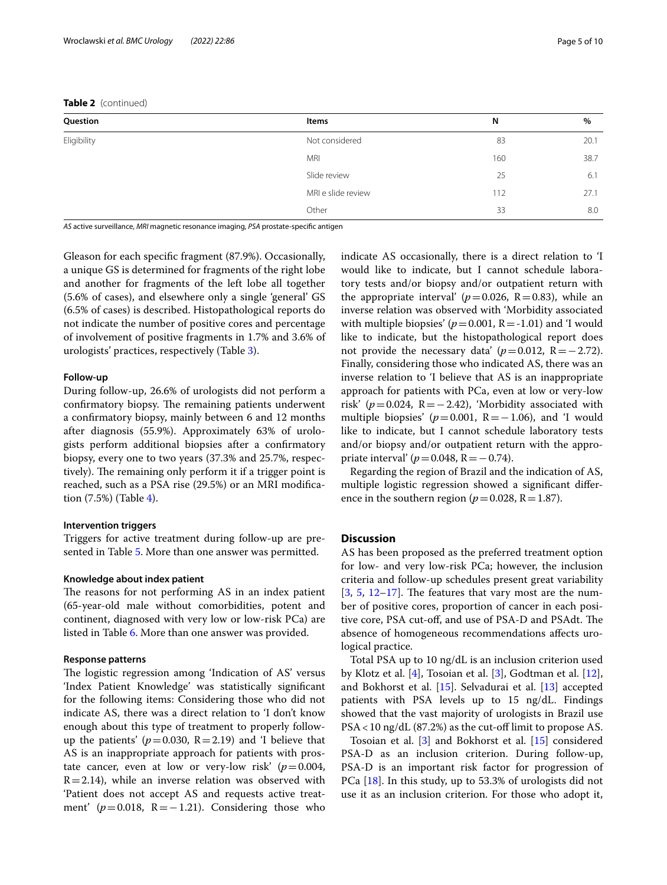| Question    | Items              | N   | $\%$ |
|-------------|--------------------|-----|------|
| Eligibility | Not considered     | 83  | 20.1 |
|             | MRI                | 160 | 38.7 |
|             | Slide review       | 25  | 6.1  |
|             | MRI e slide review | 112 | 27.1 |
|             | Other              | 33  | 8.0  |

*AS* active surveillance, *MRI* magnetic resonance imaging, *PSA* prostate-specifc antigen

Gleason for each specifc fragment (87.9%). Occasionally, a unique GS is determined for fragments of the right lobe and another for fragments of the left lobe all together (5.6% of cases), and elsewhere only a single 'general' GS (6.5% of cases) is described. Histopathological reports do not indicate the number of positive cores and percentage of involvement of positive fragments in 1.7% and 3.6% of urologists' practices, respectively (Table [3](#page-5-0)).

#### **Follow‑up**

During follow-up, 26.6% of urologists did not perform a confirmatory biopsy. The remaining patients underwent a confrmatory biopsy, mainly between 6 and 12 months after diagnosis (55.9%). Approximately 63% of urologists perform additional biopsies after a confrmatory biopsy, every one to two years (37.3% and 25.7%, respectively). The remaining only perform it if a trigger point is reached, such as a PSA rise (29.5%) or an MRI modifcation (7.5%) (Table [4\)](#page-6-0).

# **Intervention triggers**

Triggers for active treatment during follow-up are presented in Table [5.](#page-6-1) More than one answer was permitted.

## **Knowledge about index patient**

The reasons for not performing AS in an index patient (65-year-old male without comorbidities, potent and continent, diagnosed with very low or low-risk PCa) are listed in Table [6.](#page-7-0) More than one answer was provided.

## **Response patterns**

The logistic regression among 'Indication of AS' versus 'Index Patient Knowledge' was statistically signifcant for the following items: Considering those who did not indicate AS, there was a direct relation to 'I don't know enough about this type of treatment to properly followup the patients'  $(p=0.030, R=2.19)$  and 'I believe that AS is an inappropriate approach for patients with prostate cancer, even at low or very-low risk'  $(p=0.004,$  $R=2.14$ ), while an inverse relation was observed with 'Patient does not accept AS and requests active treatment'  $(p=0.018, R=-1.21)$ . Considering those who indicate AS occasionally, there is a direct relation to 'I would like to indicate, but I cannot schedule laboratory tests and/or biopsy and/or outpatient return with the appropriate interval'  $(p=0.026, R=0.83)$ , while an inverse relation was observed with 'Morbidity associated with multiple biopsies'  $(p=0.001, R=-1.01)$  and 'I would like to indicate, but the histopathological report does not provide the necessary data'  $(p=0.012, R=-2.72)$ . Finally, considering those who indicated AS, there was an inverse relation to 'I believe that AS is an inappropriate approach for patients with PCa, even at low or very-low risk' ( $p=0.024$ , R = −2.42), 'Morbidity associated with multiple biopsies'  $(p=0.001, R=-1.06)$ , and 'I would like to indicate, but I cannot schedule laboratory tests and/or biopsy and/or outpatient return with the appropriate interval'  $(p=0.048, R=-0.74)$ .

Regarding the region of Brazil and the indication of AS, multiple logistic regression showed a signifcant diference in the southern region ( $p=0.028$ , R = 1.87).

#### **Discussion**

AS has been proposed as the preferred treatment option for low- and very low-risk PCa; however, the inclusion criteria and follow-up schedules present great variability  $[3, 5, 12-17]$  $[3, 5, 12-17]$  $[3, 5, 12-17]$  $[3, 5, 12-17]$  $[3, 5, 12-17]$  $[3, 5, 12-17]$  $[3, 5, 12-17]$ . The features that vary most are the number of positive cores, proportion of cancer in each positive core, PSA cut-off, and use of PSA-D and PSAdt. The absence of homogeneous recommendations afects urological practice.

Total PSA up to 10 ng/dL is an inclusion criterion used by Klotz et al. [[4\]](#page-8-3), Tosoian et al. [\[3\]](#page-8-2), Godtman et al. [\[12](#page-8-12)], and Bokhorst et al. [[15\]](#page-8-14). Selvadurai et al. [[13\]](#page-8-15) accepted patients with PSA levels up to 15 ng/dL. Findings showed that the vast majority of urologists in Brazil use  $PSA < 10$  ng/dL (87.2%) as the cut-off limit to propose AS.

Tosoian et al. [[3\]](#page-8-2) and Bokhorst et al. [\[15\]](#page-8-14) considered PSA-D as an inclusion criterion. During follow-up, PSA-D is an important risk factor for progression of PCa [[18\]](#page-8-16). In this study, up to 53.3% of urologists did not use it as an inclusion criterion. For those who adopt it,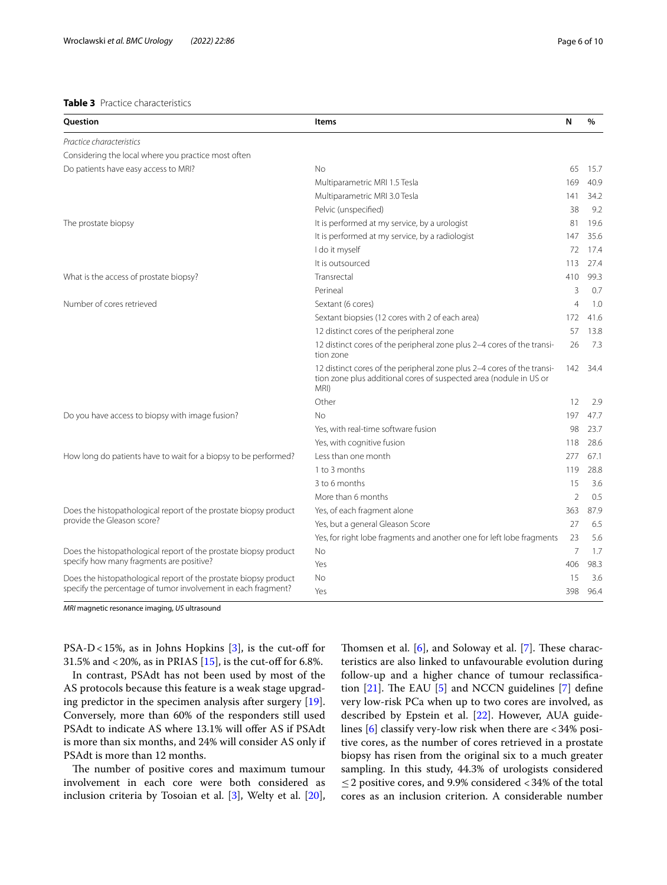# <span id="page-5-0"></span>**Table 3** Practice characteristics

| Question                                                         | <b>Items</b>                                                                                                                                         | N              | $\%$ |
|------------------------------------------------------------------|------------------------------------------------------------------------------------------------------------------------------------------------------|----------------|------|
| Practice characteristics                                         |                                                                                                                                                      |                |      |
| Considering the local where you practice most often              |                                                                                                                                                      |                |      |
| Do patients have easy access to MRI?                             | <b>No</b>                                                                                                                                            | 65             | 15.7 |
|                                                                  | Multiparametric MRI 1.5 Tesla                                                                                                                        | 169            | 40.9 |
|                                                                  | Multiparametric MRI 3.0 Tesla                                                                                                                        | 141            | 34.2 |
|                                                                  | Pelvic (unspecified)                                                                                                                                 | 38             | 9.2  |
| The prostate biopsy                                              | It is performed at my service, by a urologist                                                                                                        | 81             | 19.6 |
|                                                                  | It is performed at my service, by a radiologist                                                                                                      | 147            | 35.6 |
|                                                                  | I do it myself                                                                                                                                       | 72             | 17.4 |
|                                                                  | It is outsourced                                                                                                                                     | 113            | 27.4 |
| What is the access of prostate biopsy?                           | Transrectal                                                                                                                                          | 410            | 99.3 |
|                                                                  | Perineal                                                                                                                                             | 3              | 0.7  |
| Number of cores retrieved                                        | Sextant (6 cores)                                                                                                                                    | 4              | 1.0  |
|                                                                  | Sextant biopsies (12 cores with 2 of each area)                                                                                                      | 172            | 41.6 |
|                                                                  | 12 distinct cores of the peripheral zone                                                                                                             | 57             | 13.8 |
|                                                                  | 12 distinct cores of the peripheral zone plus 2-4 cores of the transi-<br>tion zone                                                                  | 26             | 7.3  |
|                                                                  | 12 distinct cores of the peripheral zone plus 2-4 cores of the transi-<br>tion zone plus additional cores of suspected area (nodule in US or<br>MRI) | 142            | 34.4 |
|                                                                  | Other                                                                                                                                                | 12             | 2.9  |
| Do you have access to biopsy with image fusion?                  | No                                                                                                                                                   | 197            | 47.7 |
|                                                                  | Yes, with real-time software fusion                                                                                                                  | 98             | 23.7 |
|                                                                  | Yes, with cognitive fusion                                                                                                                           | 118            | 28.6 |
| How long do patients have to wait for a biopsy to be performed?  | Less than one month                                                                                                                                  | 277            | 67.1 |
|                                                                  | 1 to 3 months                                                                                                                                        | 119            | 28.8 |
|                                                                  | 3 to 6 months                                                                                                                                        | 15             | 3.6  |
|                                                                  | More than 6 months                                                                                                                                   | $\overline{2}$ | 0.5  |
| Does the histopathological report of the prostate biopsy product | Yes, of each fragment alone                                                                                                                          | 363            | 87.9 |
| provide the Gleason score?                                       | Yes, but a general Gleason Score                                                                                                                     | 27             | 6.5  |
|                                                                  | Yes, for right lobe fragments and another one for left lobe fragments                                                                                | 23             | 5.6  |
| Does the histopathological report of the prostate biopsy product | <b>No</b>                                                                                                                                            | 7              | 1.7  |
| specify how many fragments are positive?                         | Yes                                                                                                                                                  | 406            | 98.3 |
| Does the histopathological report of the prostate biopsy product | No                                                                                                                                                   | 15             | 3.6  |
| specify the percentage of tumor involvement in each fragment?    | Yes                                                                                                                                                  | 398            | 96.4 |

*MRI* magnetic resonance imaging, *US* ultrasound

PSA-D<15%, as in Johns Hopkins  $[3]$  $[3]$ , is the cut-off for 31.5% and <20%, as in PRIAS  $[15]$ , is the cut-off for 6.8%.

In contrast, PSAdt has not been used by most of the AS protocols because this feature is a weak stage upgrading predictor in the specimen analysis after surgery [\[19](#page-8-17)]. Conversely, more than 60% of the responders still used PSAdt to indicate AS where 13.1% will offer AS if PSAdt is more than six months, and 24% will consider AS only if PSAdt is more than 12 months.

The number of positive cores and maximum tumour involvement in each core were both considered as inclusion criteria by Tosoian et al. [[3\]](#page-8-2), Welty et al. [\[20](#page-9-0)], Thomsen et al.  $[6]$  $[6]$ , and Soloway et al.  $[7]$  $[7]$ . These characteristics are also linked to unfavourable evolution during follow-up and a higher chance of tumour reclassifcation  $[21]$  $[21]$ . The EAU  $[5]$  $[5]$  $[5]$  and NCCN guidelines  $[7]$  define very low-risk PCa when up to two cores are involved, as described by Epstein et al. [[22](#page-9-2)]. However, AUA guidelines  $[6]$  $[6]$  classify very-low risk when there are  $<$  34% positive cores, as the number of cores retrieved in a prostate biopsy has risen from the original six to a much greater sampling. In this study, 44.3% of urologists considered ≤2 positive cores, and 9.9% considered <34% of the total cores as an inclusion criterion. A considerable number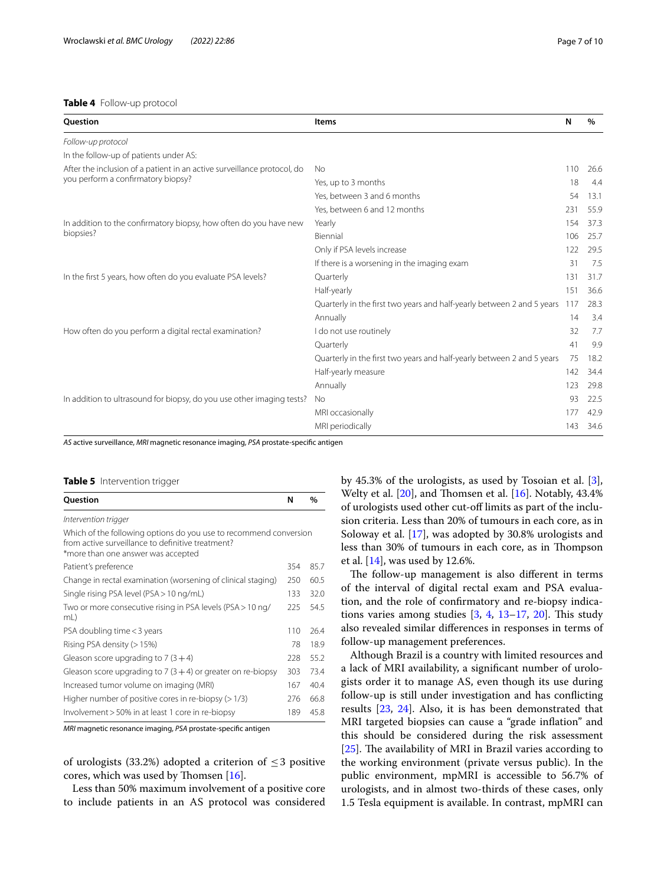# <span id="page-6-0"></span>**Table 4** Follow-up protocol

| <b>Ouestion</b>                                                         | Items                                                                  | N   | $\%$ |
|-------------------------------------------------------------------------|------------------------------------------------------------------------|-----|------|
| Follow-up protocol                                                      |                                                                        |     |      |
| In the follow-up of patients under AS:                                  |                                                                        |     |      |
| After the inclusion of a patient in an active surveillance protocol, do | <b>No</b>                                                              | 110 | 26.6 |
| you perform a confirmatory biopsy?                                      | Yes, up to 3 months                                                    | 18  | 4.4  |
|                                                                         | Yes, between 3 and 6 months                                            | 54  | 13.1 |
|                                                                         | Yes, between 6 and 12 months                                           | 231 | 55.9 |
| In addition to the confirmatory biopsy, how often do you have new       | Yearly                                                                 | 154 | 37.3 |
| biopsies?                                                               | Biennial                                                               | 106 | 25.7 |
|                                                                         | Only if PSA levels increase                                            | 122 | 29.5 |
|                                                                         | If there is a worsening in the imaging exam                            | 31  | 7.5  |
| In the first 5 years, how often do you evaluate PSA levels?             | Quarterly                                                              | 131 | 31.7 |
|                                                                         | Half-yearly                                                            | 151 | 36.6 |
|                                                                         | Quarterly in the first two years and half-yearly between 2 and 5 years | 117 | 28.3 |
|                                                                         | Annually                                                               | 14  | 3.4  |
| How often do you perform a digital rectal examination?                  | I do not use routinely                                                 | 32  | 7.7  |
|                                                                         | Quarterly                                                              | 41  | 9.9  |
|                                                                         | Quarterly in the first two years and half-yearly between 2 and 5 years | 75  | 18.2 |
|                                                                         | Half-yearly measure                                                    | 142 | 34.4 |
|                                                                         | Annually                                                               | 123 | 29.8 |
| In addition to ultrasound for biopsy, do you use other imaging tests?   | No                                                                     | 93  | 22.5 |
|                                                                         | MRI occasionally                                                       | 177 | 42.9 |
|                                                                         | MRI periodically                                                       | 143 | 34.6 |

*AS* active surveillance, *MRI* magnetic resonance imaging, *PSA* prostate-specifc antigen

#### <span id="page-6-1"></span>**Table 5** Intervention trigger

| Question                                                                                                                                                     | N   | $\%$ |
|--------------------------------------------------------------------------------------------------------------------------------------------------------------|-----|------|
| Intervention trigger                                                                                                                                         |     |      |
| Which of the following options do you use to recommend conversion<br>from active surveillance to definitive treatment?<br>*more than one answer was accepted |     |      |
| Patient's preference                                                                                                                                         | 354 | 85.7 |
| Change in rectal examination (worsening of clinical staging)                                                                                                 | 250 | 60.5 |
| Single rising PSA level (PSA > 10 ng/mL)                                                                                                                     | 133 | 32.0 |
| Two or more consecutive rising in PSA levels (PSA > 10 ng/<br>mL)                                                                                            | 225 | 54.5 |
| PSA doubling time < 3 years                                                                                                                                  | 110 | 26.4 |
| Rising PSA density (> 15%)                                                                                                                                   | 78  | 18.9 |
| Gleason score upgrading to $7(3+4)$                                                                                                                          | 228 | 55.2 |
| Gleason score upgrading to $7(3+4)$ or greater on re-biopsy                                                                                                  | 303 | 73.4 |
| Increased tumor volume on imaging (MRI)                                                                                                                      | 167 | 40.4 |
| Higher number of positive cores in re-biopsy $(>1/3)$                                                                                                        | 276 | 66.8 |
| Involvement > 50% in at least 1 core in re-biopsy                                                                                                            | 189 | 45.8 |

*MRI* magnetic resonance imaging, *PSA* prostate-specifc antigen

of urologists (33.2%) adopted a criterion of  $\leq$  3 positive cores, which was used by Thomsen  $[16]$  $[16]$ .

Less than 50% maximum involvement of a positive core to include patients in an AS protocol was considered by 45.3% of the urologists, as used by Tosoian et al. [\[3](#page-8-2)], Welty et al.  $[20]$ , and Thomsen et al.  $[16]$  $[16]$ . Notably, 43.4% of urologists used other cut-off limits as part of the inclusion criteria. Less than 20% of tumours in each core, as in Soloway et al. [[17\]](#page-8-13), was adopted by 30.8% urologists and less than 30% of tumours in each core, as in Thompson et al. [[14](#page-8-19)], was used by 12.6%.

The follow-up management is also different in terms of the interval of digital rectal exam and PSA evaluation, and the role of confrmatory and re-biopsy indications varies among studies  $[3, 4, 13-17, 20]$  $[3, 4, 13-17, 20]$  $[3, 4, 13-17, 20]$  $[3, 4, 13-17, 20]$  $[3, 4, 13-17, 20]$  $[3, 4, 13-17, 20]$  $[3, 4, 13-17, 20]$  $[3, 4, 13-17, 20]$ . This study also revealed similar diferences in responses in terms of follow-up management preferences.

Although Brazil is a country with limited resources and a lack of MRI availability, a signifcant number of urologists order it to manage AS, even though its use during follow-up is still under investigation and has conficting results [\[23,](#page-9-3) [24](#page-9-4)]. Also, it is has been demonstrated that MRI targeted biopsies can cause a "grade infation" and this should be considered during the risk assessment [ $25$ ]. The availability of MRI in Brazil varies according to the working environment (private versus public). In the public environment, mpMRI is accessible to 56.7% of urologists, and in almost two-thirds of these cases, only 1.5 Tesla equipment is available. In contrast, mpMRI can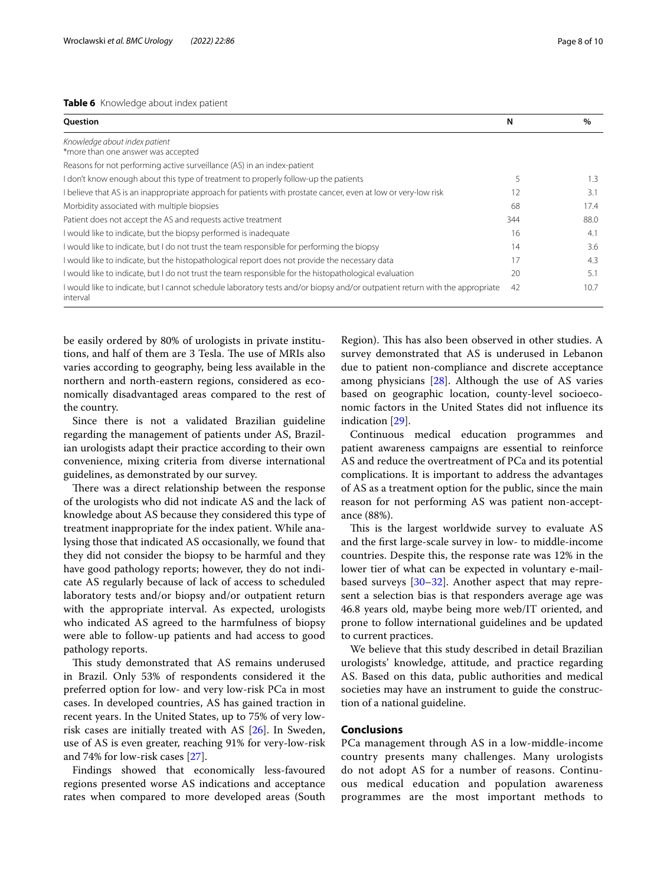#### <span id="page-7-0"></span>**Table 6** Knowledge about index patient

| Question                                                                                                                                 | N   | $\%$ |
|------------------------------------------------------------------------------------------------------------------------------------------|-----|------|
| Knowledge about index patient<br>*more than one answer was accepted                                                                      |     |      |
| Reasons for not performing active surveillance (AS) in an index-patient                                                                  |     |      |
| I don't know enough about this type of treatment to properly follow-up the patients                                                      |     | 1.3  |
| I believe that AS is an inappropriate approach for patients with prostate cancer, even at low or very-low risk                           | 12  | 3.1  |
| Morbidity associated with multiple biopsies                                                                                              | 68  | 17.4 |
| Patient does not accept the AS and requests active treatment                                                                             | 344 | 88.0 |
| I would like to indicate, but the biopsy performed is inadequate                                                                         | 16  | 4.1  |
| I would like to indicate, but I do not trust the team responsible for performing the biopsy                                              | 14  | 3.6  |
| I would like to indicate, but the histopathological report does not provide the necessary data                                           | 17  | 4.3  |
| I would like to indicate, but I do not trust the team responsible for the histopathological evaluation                                   | 20  | 5.1  |
| I would like to indicate, but I cannot schedule laboratory tests and/or biopsy and/or outpatient return with the appropriate<br>interval | 42  | 10.7 |

be easily ordered by 80% of urologists in private institutions, and half of them are 3 Tesla. The use of MRIs also varies according to geography, being less available in the northern and north-eastern regions, considered as economically disadvantaged areas compared to the rest of the country.

Since there is not a validated Brazilian guideline regarding the management of patients under AS, Brazilian urologists adapt their practice according to their own convenience, mixing criteria from diverse international guidelines, as demonstrated by our survey.

There was a direct relationship between the response of the urologists who did not indicate AS and the lack of knowledge about AS because they considered this type of treatment inappropriate for the index patient. While analysing those that indicated AS occasionally, we found that they did not consider the biopsy to be harmful and they have good pathology reports; however, they do not indicate AS regularly because of lack of access to scheduled laboratory tests and/or biopsy and/or outpatient return with the appropriate interval. As expected, urologists who indicated AS agreed to the harmfulness of biopsy were able to follow-up patients and had access to good pathology reports.

This study demonstrated that AS remains underused in Brazil. Only 53% of respondents considered it the preferred option for low- and very low-risk PCa in most cases. In developed countries, AS has gained traction in recent years. In the United States, up to 75% of very lowrisk cases are initially treated with AS [\[26](#page-9-6)]. In Sweden, use of AS is even greater, reaching 91% for very-low-risk and 74% for low-risk cases [[27\]](#page-9-7).

Findings showed that economically less-favoured regions presented worse AS indications and acceptance rates when compared to more developed areas (South Region). This has also been observed in other studies. A survey demonstrated that AS is underused in Lebanon due to patient non-compliance and discrete acceptance among physicians [\[28](#page-9-8)]. Although the use of AS varies based on geographic location, county-level socioeconomic factors in the United States did not infuence its indication [[29](#page-9-9)].

Continuous medical education programmes and patient awareness campaigns are essential to reinforce AS and reduce the overtreatment of PCa and its potential complications. It is important to address the advantages of AS as a treatment option for the public, since the main reason for not performing AS was patient non-acceptance (88%).

This is the largest worldwide survey to evaluate AS and the frst large-scale survey in low- to middle-income countries. Despite this, the response rate was 12% in the lower tier of what can be expected in voluntary e-mailbased surveys [[30](#page-9-10)[–32](#page-9-11)]. Another aspect that may represent a selection bias is that responders average age was 46.8 years old, maybe being more web/IT oriented, and prone to follow international guidelines and be updated to current practices.

We believe that this study described in detail Brazilian urologists' knowledge, attitude, and practice regarding AS. Based on this data, public authorities and medical societies may have an instrument to guide the construction of a national guideline.

# **Conclusions**

PCa management through AS in a low-middle-income country presents many challenges. Many urologists do not adopt AS for a number of reasons. Continuous medical education and population awareness programmes are the most important methods to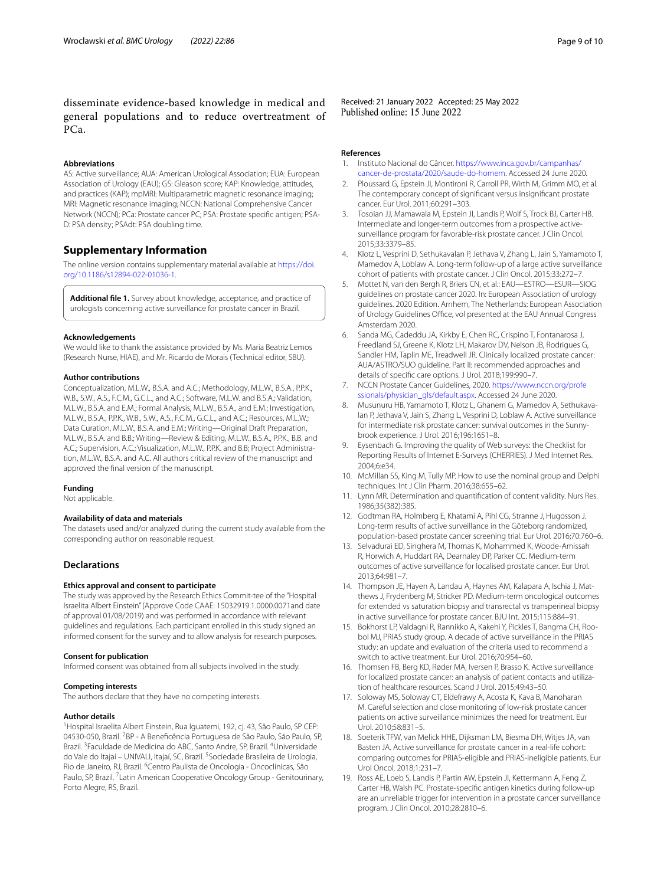disseminate evidence-based knowledge in medical and general populations and to reduce overtreatment of PCa.

#### **Abbreviations**

AS: Active surveillance; AUA: American Urological Association; EUA: European Association of Urology (EAU); GS: Gleason score; KAP: Knowledge, attitudes, and practices (KAP); mpMRI: Multiparametric magnetic resonance imaging; MRI: Magnetic resonance imaging; NCCN: National Comprehensive Cancer Network (NCCN); PCa: Prostate cancer PC; PSA: Prostate specifc antigen; PSA-D: PSA density; PSAdt: PSA doubling time.

# **Supplementary Information**

The online version contains supplementary material available at [https://doi.](https://doi.org/10.1186/s12894-022-01036-1) [org/10.1186/s12894-022-01036-1](https://doi.org/10.1186/s12894-022-01036-1).

<span id="page-8-11"></span>**Additional fle 1.** Survey about knowledge, acceptance, and practice of urologists concerning active surveillance for prostate cancer in Brazil.

#### **Acknowledgements**

We would like to thank the assistance provided by Ms. Maria Beatriz Lemos (Research Nurse, HIAE), and Mr. Ricardo de Morais (Technical editor, SBU).

#### **Author contributions**

Conceptualization, M.L.W., B.S.A. and A.C.; Methodology, M.L.W., B.S.A., P.P.K., W.B., S.W., A.S., F.C.M., G.C.L., and A.C.; Software, M.L.W. and B.S.A.; Validation, M.L.W., B.S.A. and E.M.; Formal Analysis, M.L.W., B.S.A., and E.M.; Investigation, M.L.W., B.S.A., P.P.K., W.B., S.W., A.S., F.C.M., G.C.L., and A.C.; Resources, M.L.W.; Data Curation, M.L.W., B.S.A. and E.M.; Writing—Original Draft Preparation, M.L.W., B.S.A. and B.B.; Writing—Review & Editing, M.L.W., B.S.A., P.P.K., B.B. and A.C.; Supervision, A.C.; Visualization, M.L.W., P.P.K. and B.B; Project Administration, M.L.W., B.S.A. and A.C. All authors critical review of the manuscript and approved the fnal version of the manuscript.

#### **Funding**

Not applicable.

#### **Availability of data and materials**

The datasets used and/or analyzed during the current study available from the corresponding author on reasonable request.

#### **Declarations**

#### **Ethics approval and consent to participate**

The study was approved by the Research Ethics Commit-tee of the "Hospital Israelita Albert Einstein" (Approve Code CAAE: 15032919.1.0000.0071and date of approval 01/08/2019) and was performed in accordance with relevant guidelines and regulations. Each participant enrolled in this study signed an informed consent for the survey and to allow analysis for research purposes.

#### **Consent for publication**

Informed consent was obtained from all subjects involved in the study.

#### **Competing interests**

The authors declare that they have no competing interests.

#### **Author details**

<sup>1</sup> Hospital Israelita Albert Einstein, Rua Iguatemi, 192, cj. 43, São Paulo, SP CEP: 04530-050, Brazil. <sup>2</sup>BP - A Beneficência Portuguesa de São Paulo, São Paulo, SP, Brazil.<sup>3</sup> Faculdade de Medicina do ABC, Santo Andre, SP, Brazil. <sup>4</sup>Universidade do Vale do Itajaí – UNIVALI, Itajaí, SC, Brazil. <sup>5</sup> Sociedade Brasileira de Urologia, Rio de Janeiro, RJ, Brazil. <sup>6</sup> Centro Paulista de Oncologia - Oncoclínicas, São Paulo, SP, Brazil. <sup>7</sup> Latin American Cooperative Oncology Group - Genitourinary, Porto Alegre, RS, Brazil.

Received: 21 January 2022 Accepted: 25 May 2022<br>Published online: 15 June 2022

#### **References**

- <span id="page-8-0"></span>1. Instituto Nacional do Câncer. [https://www.inca.gov.br/campanhas/](https://www.inca.gov.br/campanhas/cancer-de-prostata/2020/saude-do-homem) [cancer-de-prostata/2020/saude-do-homem](https://www.inca.gov.br/campanhas/cancer-de-prostata/2020/saude-do-homem). Accessed 24 June 2020.
- <span id="page-8-1"></span>2. Ploussard G, Epstein JI, Montironi R, Carroll PR, Wirth M, Grimm MO, et al. The contemporary concept of signifcant versus insignifcant prostate cancer. Eur Urol. 2011;60:291–303.
- <span id="page-8-2"></span>3. Tosoian JJ, Mamawala M, Epstein JI, Landis P, Wolf S, Trock BJ, Carter HB. Intermediate and longer-term outcomes from a prospective activesurveillance program for favorable-risk prostate cancer. J Clin Oncol. 2015;33:3379–85.
- <span id="page-8-3"></span>4. Klotz L, Vesprini D, Sethukavalan P, Jethava V, Zhang L, Jain S, Yamamoto T, Mamedov A, Loblaw A. Long-term follow-up of a large active surveillance cohort of patients with prostate cancer. J Clin Oncol. 2015;33:272–7.
- <span id="page-8-4"></span>5. Mottet N, van den Bergh R, Briers CN, et al.: EAU—ESTRO—ESUR—SIOG guidelines on prostate cancer 2020. In: European Association of urology guidelines. 2020 Edition. Arnhem, The Netherlands: European Association of Urology Guidelines Office, vol presented at the EAU Annual Congress Amsterdam 2020.
- <span id="page-8-5"></span>6. Sanda MG, Cadeddu JA, Kirkby E, Chen RC, Crispino T, Fontanarosa J, Freedland SJ, Greene K, Klotz LH, Makarov DV, Nelson JB, Rodrigues G, Sandler HM, Taplin ME, Treadwell JR. Clinically localized prostate cancer: AUA/ASTRO/SUO guideline. Part II: recommended approaches and details of specifc care options. J Urol. 2018;199:990–7.
- <span id="page-8-6"></span>7. NCCN Prostate Cancer Guidelines, 2020. [https://www.nccn.org/profe](https://www.nccn.org/professionals/physician_gls/default.aspx) [ssionals/physician\\_gls/default.aspx](https://www.nccn.org/professionals/physician_gls/default.aspx). Accessed 24 June 2020.
- <span id="page-8-7"></span>8. Musunuru HB, Yamamoto T, Klotz L, Ghanem G, Mamedov A, Sethukavalan P, Jethava V, Jain S, Zhang L, Vesprini D, Loblaw A. Active surveillance for intermediate risk prostate cancer: survival outcomes in the Sunnybrook experience. J Urol. 2016;196:1651–8.
- <span id="page-8-8"></span>9. Eysenbach G. Improving the quality of Web surveys: the Checklist for Reporting Results of Internet E-Surveys (CHERRIES). J Med Internet Res. 2004;6:e34.
- <span id="page-8-9"></span>10. McMillan SS, King M, Tully MP. How to use the nominal group and Delphi techniques. Int J Clin Pharm. 2016;38:655–62.
- <span id="page-8-10"></span>11. Lynn MR. Determination and quantifcation of content validity. Nurs Res. 1986;35(382):385.
- <span id="page-8-12"></span>12. Godtman RA, Holmberg E, Khatami A, Pihl CG, Stranne J, Hugosson J. Long-term results of active surveillance in the Göteborg randomized, population-based prostate cancer screening trial. Eur Urol. 2016;70:760–6.
- <span id="page-8-15"></span>13. Selvadurai ED, Singhera M, Thomas K, Mohammed K, Woode-Amissah R, Horwich A, Huddart RA, Dearnaley DP, Parker CC. Medium-term outcomes of active surveillance for localised prostate cancer. Eur Urol. 2013;64:981–7.
- <span id="page-8-19"></span>14. Thompson JE, Hayen A, Landau A, Haynes AM, Kalapara A, Ischia J, Matthews J, Frydenberg M, Stricker PD. Medium-term oncological outcomes for extended vs saturation biopsy and transrectal vs transperineal biopsy in active surveillance for prostate cancer. BJU Int. 2015;115:884–91.
- <span id="page-8-14"></span>15. Bokhorst LP, Valdagni R, Rannikko A, Kakehi Y, Pickles T, Bangma CH, Roobol MJ, PRIAS study group. A decade of active surveillance in the PRIAS study: an update and evaluation of the criteria used to recommend a switch to active treatment. Eur Urol. 2016;70:954–60.
- <span id="page-8-18"></span>16. Thomsen FB, Berg KD, Røder MA, Iversen P, Brasso K. Active surveillance for localized prostate cancer: an analysis of patient contacts and utilization of healthcare resources. Scand J Urol. 2015;49:43–50.
- <span id="page-8-13"></span>17. Soloway MS, Soloway CT, Eldefrawy A, Acosta K, Kava B, Manoharan M. Careful selection and close monitoring of low-risk prostate cancer patients on active surveillance minimizes the need for treatment. Eur Urol. 2010;58:831–5.
- <span id="page-8-16"></span>18. Soeterik TFW, van Melick HHE, Dijksman LM, Biesma DH, Witjes JA, van Basten JA. Active surveillance for prostate cancer in a real-life cohort: comparing outcomes for PRIAS-eligible and PRIAS-ineligible patients. Eur Urol Oncol. 2018;1:231–7.
- <span id="page-8-17"></span>19. Ross AE, Loeb S, Landis P, Partin AW, Epstein JI, Kettermann A, Feng Z, Carter HB, Walsh PC. Prostate-specifc antigen kinetics during follow-up are an unreliable trigger for intervention in a prostate cancer surveillance program. J Clin Oncol. 2010;28:2810–6.